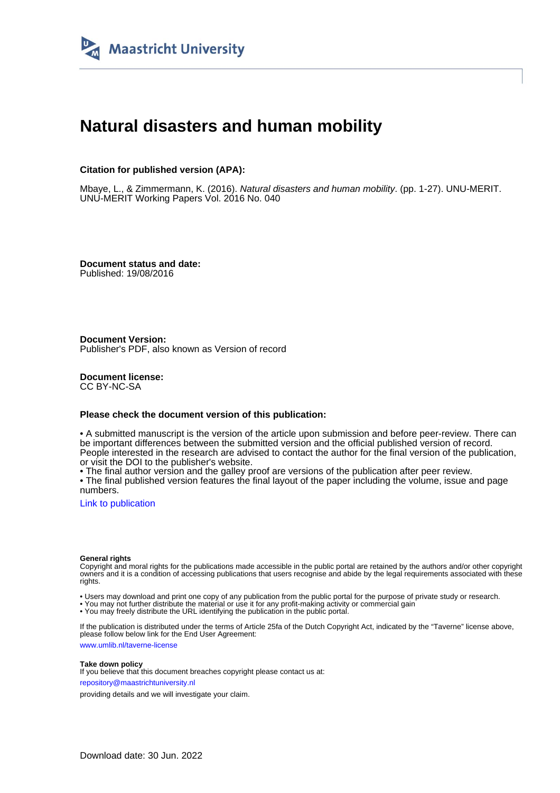

# **Natural disasters and human mobility**

#### **Citation for published version (APA):**

Mbaye, L., & Zimmermann, K. (2016). Natural disasters and human mobility. (pp. 1-27). UNU-MERIT. UNU-MERIT Working Papers Vol. 2016 No. 040

**Document status and date:** Published: 19/08/2016

**Document Version:** Publisher's PDF, also known as Version of record

**Document license:** CC BY-NC-SA

#### **Please check the document version of this publication:**

• A submitted manuscript is the version of the article upon submission and before peer-review. There can be important differences between the submitted version and the official published version of record. People interested in the research are advised to contact the author for the final version of the publication, or visit the DOI to the publisher's website.

• The final author version and the galley proof are versions of the publication after peer review.

• The final published version features the final layout of the paper including the volume, issue and page numbers.

[Link to publication](https://cris.maastrichtuniversity.nl/en/publications/7bd679c8-21a2-4740-a96d-428ca8f3aa44)

#### **General rights**

Copyright and moral rights for the publications made accessible in the public portal are retained by the authors and/or other copyright owners and it is a condition of accessing publications that users recognise and abide by the legal requirements associated with these rights.

• Users may download and print one copy of any publication from the public portal for the purpose of private study or research.

• You may not further distribute the material or use it for any profit-making activity or commercial gain

• You may freely distribute the URL identifying the publication in the public portal.

If the publication is distributed under the terms of Article 25fa of the Dutch Copyright Act, indicated by the "Taverne" license above, please follow below link for the End User Agreement:

www.umlib.nl/taverne-license

#### **Take down policy**

If you believe that this document breaches copyright please contact us at: repository@maastrichtuniversity.nl

providing details and we will investigate your claim.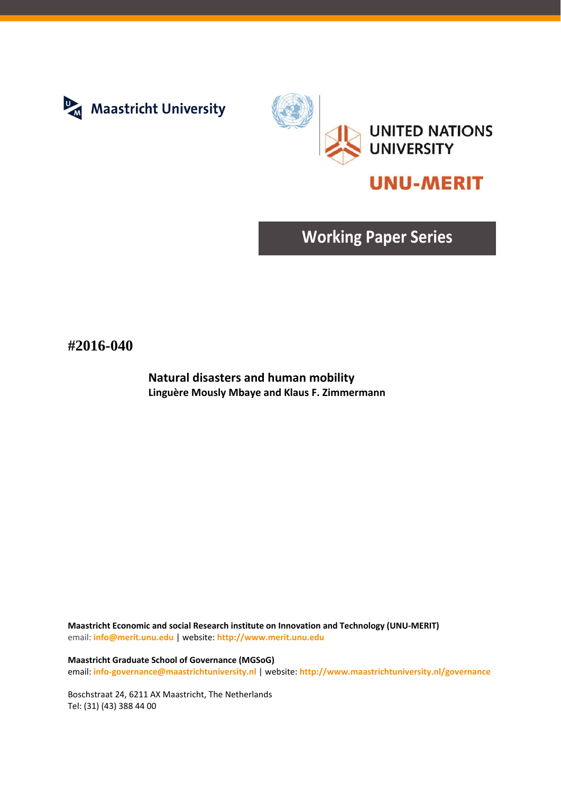



# **UNU-MERIT**

# **Working Paper Series**

## **#2016-040**

**Natural disasters and human mobility Linguère Mously Mbaye and Klaus F. Zimmermann**

**Maastricht Economic and social Research institute on Innovation and Technology (UNU‐MERIT)** email: **info@merit.unu.edu** | website: **http://www.merit.unu.edu**

**Maastricht Graduate School of Governance (MGSoG)** email: **info‐governance@maastrichtuniversity.nl** | website: **http://www.maastrichtuniversity.nl/governance**

Boschstraat 24, 6211 AX Maastricht, The Netherlands Tel: (31) (43) 388 44 00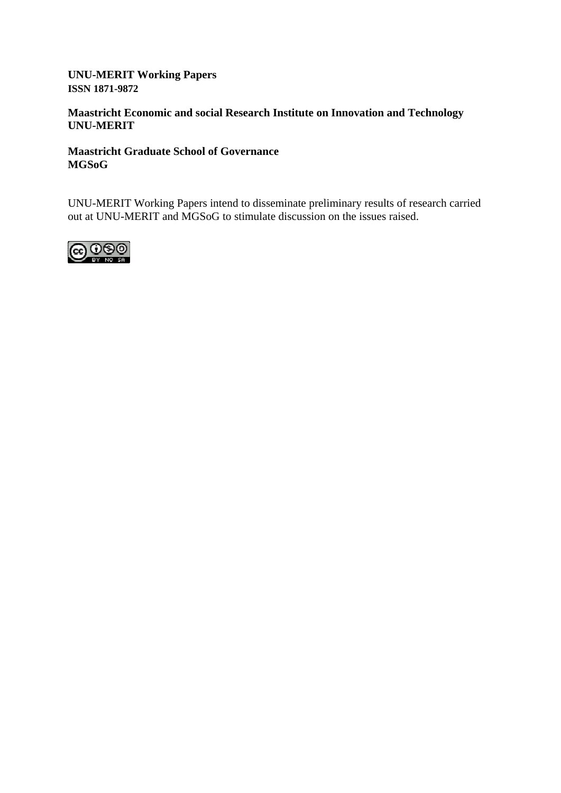### **UNU-MERIT Working Papers ISSN 1871-9872**

### **Maastricht Economic and social Research Institute on Innovation and Technology UNU-MERIT**

### **Maastricht Graduate School of Governance MGSoG**

UNU-MERIT Working Papers intend to disseminate preliminary results of research carried out at UNU-MERIT and MGSoG to stimulate discussion on the issues raised.

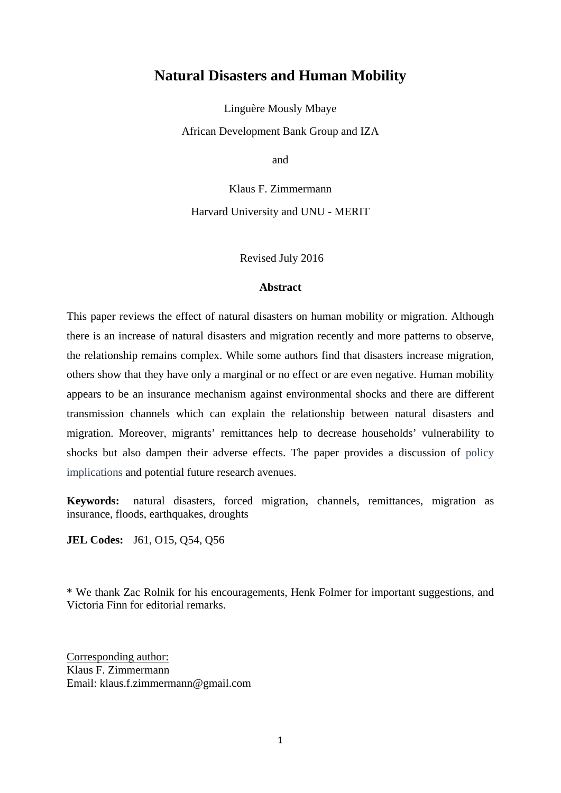## **Natural Disasters and Human Mobility**

Linguère Mously Mbaye

African Development Bank Group and IZA

and

Klaus F. Zimmermann Harvard University and UNU - MERIT

Revised July 2016

#### **Abstract**

This paper reviews the effect of natural disasters on human mobility or migration. Although there is an increase of natural disasters and migration recently and more patterns to observe, the relationship remains complex. While some authors find that disasters increase migration, others show that they have only a marginal or no effect or are even negative. Human mobility appears to be an insurance mechanism against environmental shocks and there are different transmission channels which can explain the relationship between natural disasters and migration. Moreover, migrants' remittances help to decrease households' vulnerability to shocks but also dampen their adverse effects. The paper provides a discussion of policy implications and potential future research avenues.

**Keywords:** natural disasters, forced migration, channels, remittances, migration as insurance, floods, earthquakes, droughts

**JEL Codes:** J61, O15, Q54, Q56

\* We thank Zac Rolnik for his encouragements, Henk Folmer for important suggestions, and Victoria Finn for editorial remarks.

Corresponding author: Klaus F. Zimmermann Email: klaus.f.zimmermann@gmail.com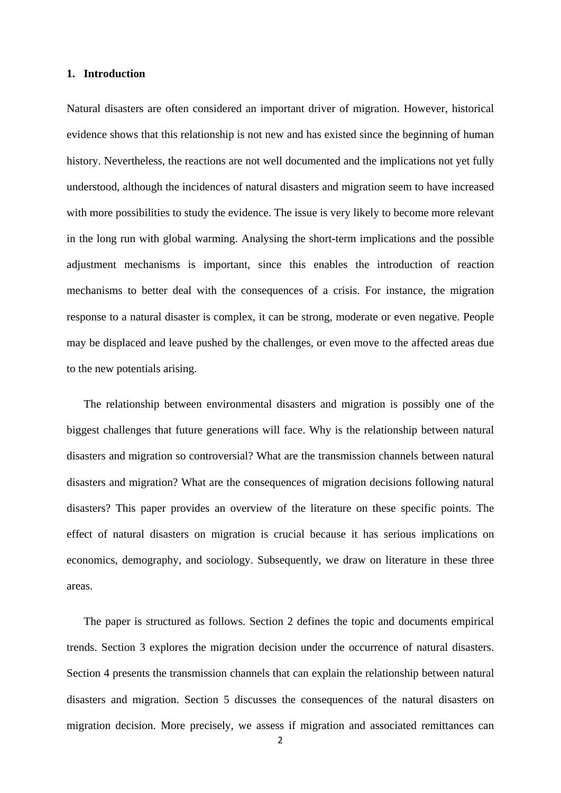#### **1. Introduction**

Natural disasters are often considered an important driver of migration. However, historical evidence shows that this relationship is not new and has existed since the beginning of human history. Nevertheless, the reactions are not well documented and the implications not yet fully understood, although the incidences of natural disasters and migration seem to have increased with more possibilities to study the evidence. The issue is very likely to become more relevant in the long run with global warming. Analysing the short-term implications and the possible adjustment mechanisms is important, since this enables the introduction of reaction mechanisms to better deal with the consequences of a crisis. For instance, the migration response to a natural disaster is complex, it can be strong, moderate or even negative. People may be displaced and leave pushed by the challenges, or even move to the affected areas due to the new potentials arising.

The relationship between environmental disasters and migration is possibly one of the biggest challenges that future generations will face. Why is the relationship between natural disasters and migration so controversial? What are the transmission channels between natural disasters and migration? What are the consequences of migration decisions following natural disasters? This paper provides an overview of the literature on these specific points. The effect of natural disasters on migration is crucial because it has serious implications on economics, demography, and sociology. Subsequently, we draw on literature in these three areas.

The paper is structured as follows. Section 2 defines the topic and documents empirical trends. Section 3 explores the migration decision under the occurrence of natural disasters. Section 4 presents the transmission channels that can explain the relationship between natural disasters and migration. Section 5 discusses the consequences of the natural disasters on migration decision. More precisely, we assess if migration and associated remittances can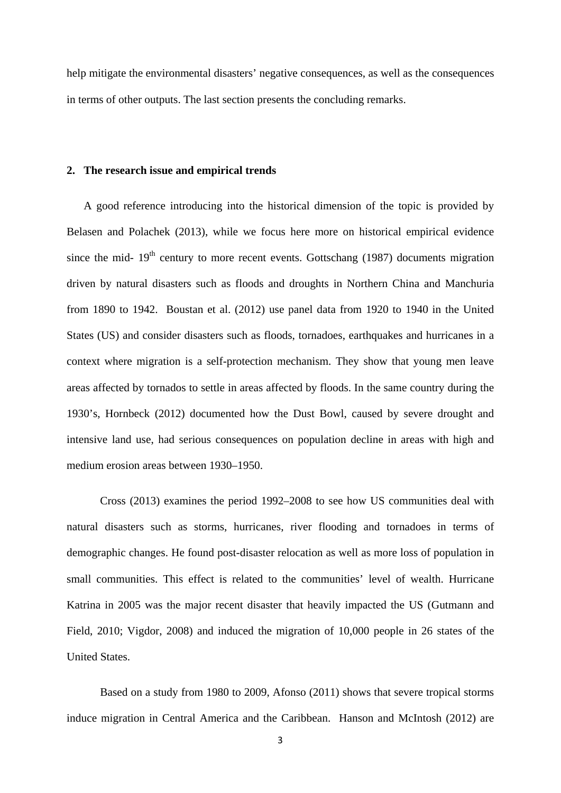help mitigate the environmental disasters' negative consequences, as well as the consequences in terms of other outputs. The last section presents the concluding remarks.

#### **2. The research issue and empirical trends**

A good reference introducing into the historical dimension of the topic is provided by Belasen and Polachek (2013), while we focus here more on historical empirical evidence since the mid-  $19<sup>th</sup>$  century to more recent events. Gottschang (1987) documents migration driven by natural disasters such as floods and droughts in Northern China and Manchuria from 1890 to 1942. Boustan et al. (2012) use panel data from 1920 to 1940 in the United States (US) and consider disasters such as floods, tornadoes, earthquakes and hurricanes in a context where migration is a self-protection mechanism. They show that young men leave areas affected by tornados to settle in areas affected by floods. In the same country during the 1930's, Hornbeck (2012) documented how the Dust Bowl, caused by severe drought and intensive land use, had serious consequences on population decline in areas with high and medium erosion areas between 1930*–*1950.

Cross (2013) examines the period 1992*–*2008 to see how US communities deal with natural disasters such as storms, hurricanes, river flooding and tornadoes in terms of demographic changes. He found post-disaster relocation as well as more loss of population in small communities. This effect is related to the communities' level of wealth. Hurricane Katrina in 2005 was the major recent disaster that heavily impacted the US (Gutmann and Field, 2010; Vigdor, 2008) and induced the migration of 10,000 people in 26 states of the United States.

Based on a study from 1980 to 2009, Afonso (2011) shows that severe tropical storms induce migration in Central America and the Caribbean. Hanson and McIntosh (2012) are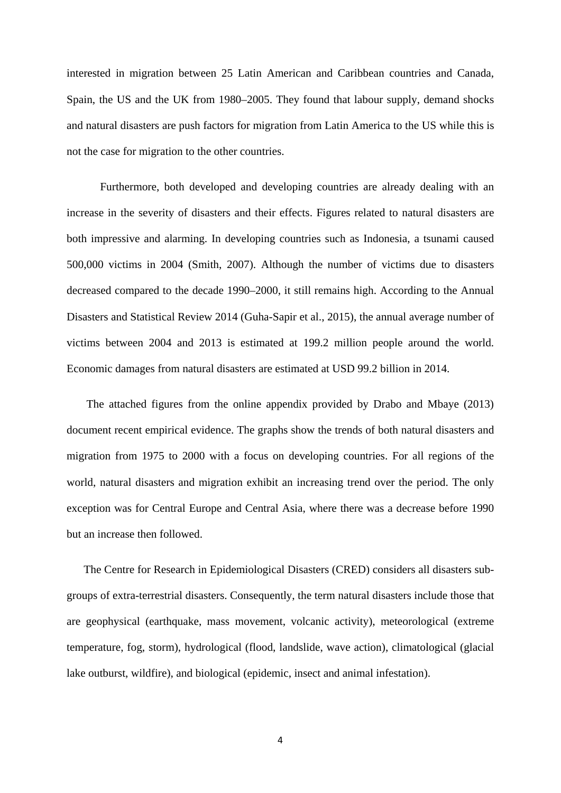interested in migration between 25 Latin American and Caribbean countries and Canada, Spain, the US and the UK from 1980*–*2005. They found that labour supply, demand shocks and natural disasters are push factors for migration from Latin America to the US while this is not the case for migration to the other countries.

 Furthermore, both developed and developing countries are already dealing with an increase in the severity of disasters and their effects. Figures related to natural disasters are both impressive and alarming. In developing countries such as Indonesia, a tsunami caused 500,000 victims in 2004 (Smith, 2007). Although the number of victims due to disasters decreased compared to the decade 1990*–*2000, it still remains high. According to the Annual Disasters and Statistical Review 2014 (Guha-Sapir et al., 2015), the annual average number of victims between 2004 and 2013 is estimated at 199.2 million people around the world. Economic damages from natural disasters are estimated at USD 99.2 billion in 2014.

 The attached figures from the online appendix provided by Drabo and Mbaye (2013) document recent empirical evidence. The graphs show the trends of both natural disasters and migration from 1975 to 2000 with a focus on developing countries. For all regions of the world, natural disasters and migration exhibit an increasing trend over the period. The only exception was for Central Europe and Central Asia, where there was a decrease before 1990 but an increase then followed.

The Centre for Research in Epidemiological Disasters (CRED) considers all disasters subgroups of extra-terrestrial disasters. Consequently, the term natural disasters include those that are geophysical (earthquake, mass movement, volcanic activity), meteorological (extreme temperature, fog, storm), hydrological (flood, landslide, wave action), climatological (glacial lake outburst, wildfire), and biological (epidemic, insect and animal infestation).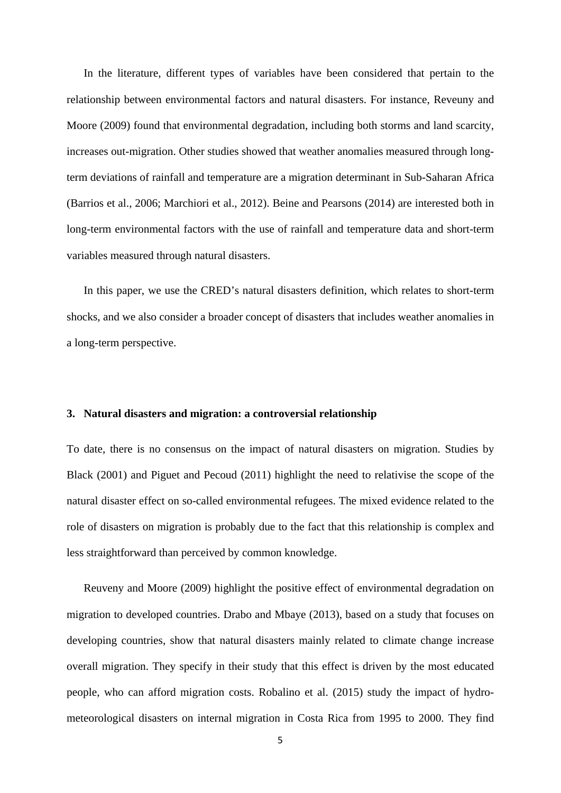In the literature, different types of variables have been considered that pertain to the relationship between environmental factors and natural disasters. For instance, Reveuny and Moore (2009) found that environmental degradation, including both storms and land scarcity, increases out-migration. Other studies showed that weather anomalies measured through longterm deviations of rainfall and temperature are a migration determinant in Sub-Saharan Africa (Barrios et al., 2006; Marchiori et al., 2012). Beine and Pearsons (2014) are interested both in long-term environmental factors with the use of rainfall and temperature data and short-term variables measured through natural disasters.

In this paper, we use the CRED's natural disasters definition, which relates to short-term shocks, and we also consider a broader concept of disasters that includes weather anomalies in a long-term perspective.

#### **3. Natural disasters and migration: a controversial relationship**

To date, there is no consensus on the impact of natural disasters on migration. Studies by Black (2001) and Piguet and Pecoud (2011) highlight the need to relativise the scope of the natural disaster effect on so-called environmental refugees. The mixed evidence related to the role of disasters on migration is probably due to the fact that this relationship is complex and less straightforward than perceived by common knowledge.

Reuveny and Moore (2009) highlight the positive effect of environmental degradation on migration to developed countries. Drabo and Mbaye (2013), based on a study that focuses on developing countries, show that natural disasters mainly related to climate change increase overall migration. They specify in their study that this effect is driven by the most educated people, who can afford migration costs. Robalino et al. (2015) study the impact of hydrometeorological disasters on internal migration in Costa Rica from 1995 to 2000. They find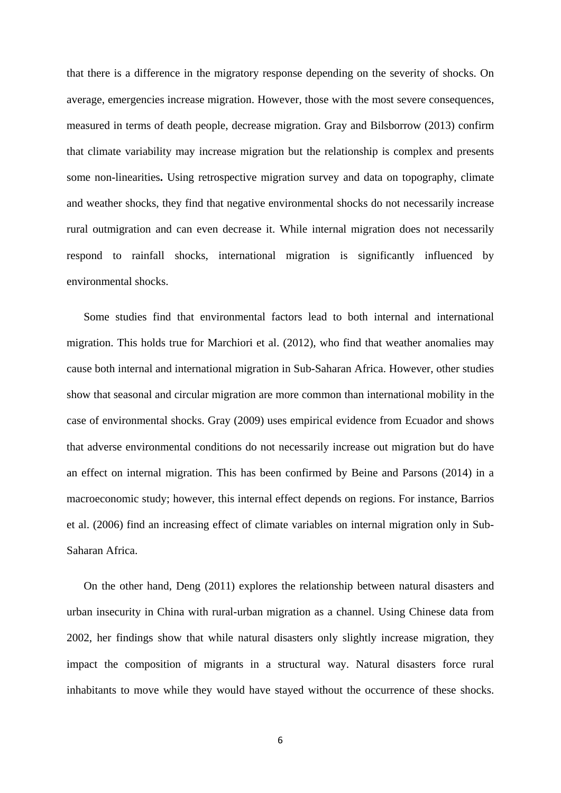that there is a difference in the migratory response depending on the severity of shocks. On average, emergencies increase migration. However, those with the most severe consequences, measured in terms of death people, decrease migration. Gray and Bilsborrow (2013) confirm that climate variability may increase migration but the relationship is complex and presents some non-linearities**.** Using retrospective migration survey and data on topography, climate and weather shocks, they find that negative environmental shocks do not necessarily increase rural outmigration and can even decrease it. While internal migration does not necessarily respond to rainfall shocks, international migration is significantly influenced by environmental shocks.

Some studies find that environmental factors lead to both internal and international migration. This holds true for Marchiori et al. (2012), who find that weather anomalies may cause both internal and international migration in Sub-Saharan Africa. However, other studies show that seasonal and circular migration are more common than international mobility in the case of environmental shocks. Gray (2009) uses empirical evidence from Ecuador and shows that adverse environmental conditions do not necessarily increase out migration but do have an effect on internal migration. This has been confirmed by Beine and Parsons (2014) in a macroeconomic study; however, this internal effect depends on regions. For instance, Barrios et al. (2006) find an increasing effect of climate variables on internal migration only in Sub-Saharan Africa.

On the other hand, Deng (2011) explores the relationship between natural disasters and urban insecurity in China with rural-urban migration as a channel. Using Chinese data from 2002, her findings show that while natural disasters only slightly increase migration, they impact the composition of migrants in a structural way. Natural disasters force rural inhabitants to move while they would have stayed without the occurrence of these shocks.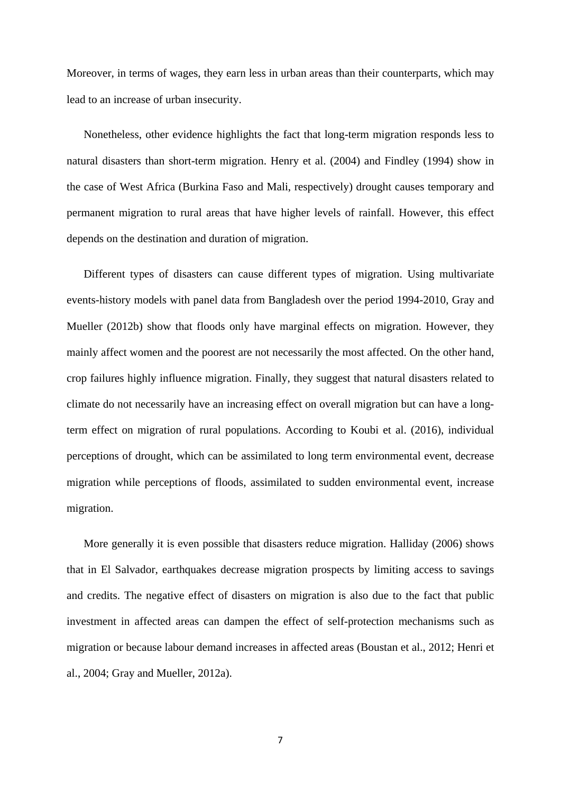Moreover, in terms of wages, they earn less in urban areas than their counterparts, which may lead to an increase of urban insecurity.

Nonetheless, other evidence highlights the fact that long-term migration responds less to natural disasters than short-term migration. Henry et al. (2004) and Findley (1994) show in the case of West Africa (Burkina Faso and Mali, respectively) drought causes temporary and permanent migration to rural areas that have higher levels of rainfall. However, this effect depends on the destination and duration of migration.

Different types of disasters can cause different types of migration. Using multivariate events-history models with panel data from Bangladesh over the period 1994-2010, Gray and Mueller (2012b) show that floods only have marginal effects on migration. However, they mainly affect women and the poorest are not necessarily the most affected. On the other hand, crop failures highly influence migration. Finally, they suggest that natural disasters related to climate do not necessarily have an increasing effect on overall migration but can have a longterm effect on migration of rural populations. According to Koubi et al. (2016), individual perceptions of drought, which can be assimilated to long term environmental event, decrease migration while perceptions of floods, assimilated to sudden environmental event, increase migration.

More generally it is even possible that disasters reduce migration. Halliday (2006) shows that in El Salvador, earthquakes decrease migration prospects by limiting access to savings and credits. The negative effect of disasters on migration is also due to the fact that public investment in affected areas can dampen the effect of self-protection mechanisms such as migration or because labour demand increases in affected areas (Boustan et al., 2012; Henri et al., 2004; Gray and Mueller, 2012a).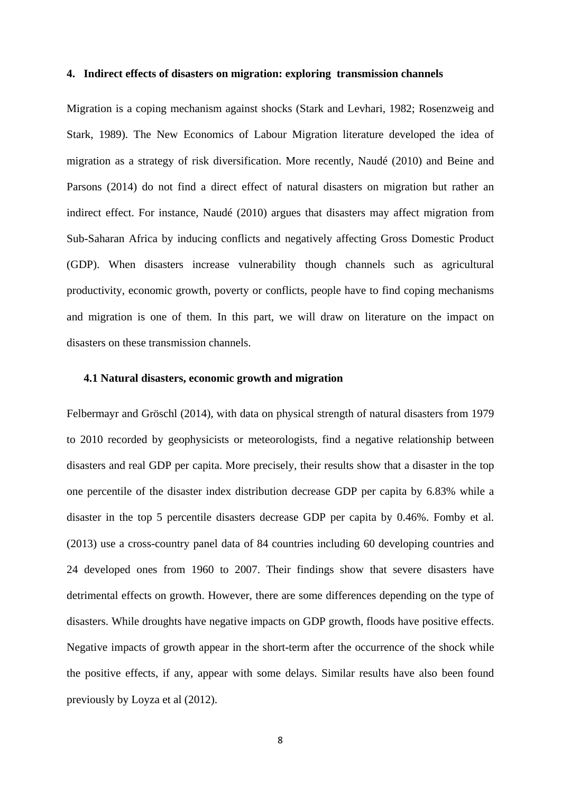#### **4. Indirect effects of disasters on migration: exploring transmission channels**

Migration is a coping mechanism against shocks (Stark and Levhari, 1982; Rosenzweig and Stark, 1989). The New Economics of Labour Migration literature developed the idea of migration as a strategy of risk diversification. More recently, Naudé (2010) and Beine and Parsons (2014) do not find a direct effect of natural disasters on migration but rather an indirect effect. For instance, Naudé (2010) argues that disasters may affect migration from Sub-Saharan Africa by inducing conflicts and negatively affecting Gross Domestic Product (GDP). When disasters increase vulnerability though channels such as agricultural productivity, economic growth, poverty or conflicts, people have to find coping mechanisms and migration is one of them. In this part, we will draw on literature on the impact on disasters on these transmission channels.

#### **4.1 Natural disasters, economic growth and migration**

Felbermayr and Gröschl (2014), with data on physical strength of natural disasters from 1979 to 2010 recorded by geophysicists or meteorologists, find a negative relationship between disasters and real GDP per capita. More precisely, their results show that a disaster in the top one percentile of the disaster index distribution decrease GDP per capita by 6.83% while a disaster in the top 5 percentile disasters decrease GDP per capita by 0.46%. Fomby et al. (2013) use a cross-country panel data of 84 countries including 60 developing countries and 24 developed ones from 1960 to 2007. Their findings show that severe disasters have detrimental effects on growth. However, there are some differences depending on the type of disasters. While droughts have negative impacts on GDP growth, floods have positive effects. Negative impacts of growth appear in the short-term after the occurrence of the shock while the positive effects, if any, appear with some delays. Similar results have also been found previously by Loyza et al (2012).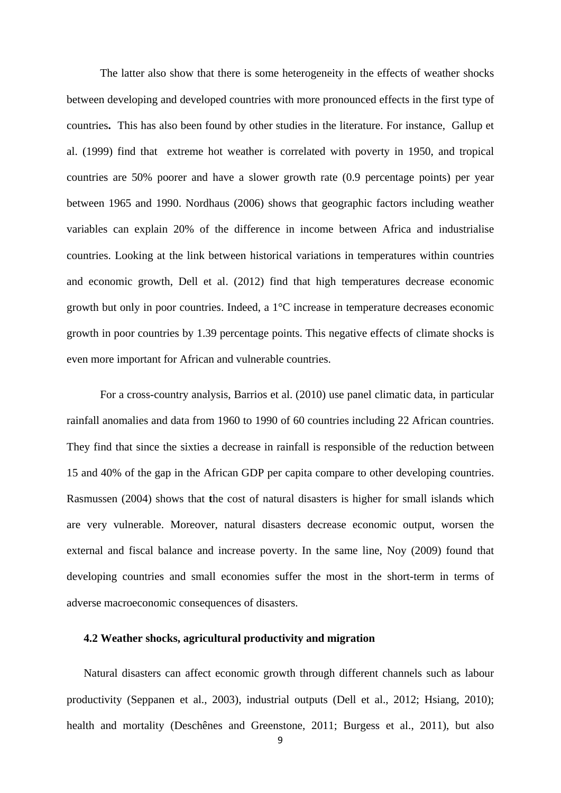The latter also show that there is some heterogeneity in the effects of weather shocks between developing and developed countries with more pronounced effects in the first type of countries**.** This has also been found by other studies in the literature. For instance, Gallup et al. (1999) find that extreme hot weather is correlated with poverty in 1950, and tropical countries are 50% poorer and have a slower growth rate (0.9 percentage points) per year between 1965 and 1990. Nordhaus (2006) shows that geographic factors including weather variables can explain 20% of the difference in income between Africa and industrialise countries. Looking at the link between historical variations in temperatures within countries and economic growth, Dell et al. (2012) find that high temperatures decrease economic growth but only in poor countries. Indeed, a 1°C increase in temperature decreases economic growth in poor countries by 1.39 percentage points. This negative effects of climate shocks is even more important for African and vulnerable countries.

 For a cross-country analysis, Barrios et al. (2010) use panel climatic data, in particular rainfall anomalies and data from 1960 to 1990 of 60 countries including 22 African countries. They find that since the sixties a decrease in rainfall is responsible of the reduction between 15 and 40% of the gap in the African GDP per capita compare to other developing countries. Rasmussen (2004) shows that **t**he cost of natural disasters is higher for small islands which are very vulnerable. Moreover, natural disasters decrease economic output, worsen the external and fiscal balance and increase poverty. In the same line, Noy (2009) found that developing countries and small economies suffer the most in the short-term in terms of adverse macroeconomic consequences of disasters.

#### **4.2 Weather shocks, agricultural productivity and migration**

Natural disasters can affect economic growth through different channels such as labour productivity (Seppanen et al., 2003), industrial outputs (Dell et al., 2012; Hsiang, 2010); health and mortality (Deschênes and Greenstone, 2011; Burgess et al., 2011), but also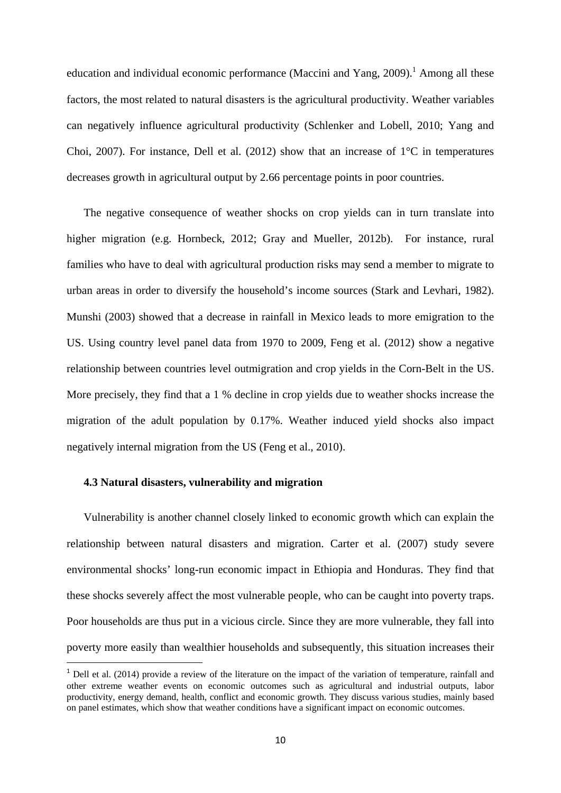education and individual economic performance (Maccini and Yang,  $2009$ ).<sup>1</sup> Among all these factors, the most related to natural disasters is the agricultural productivity. Weather variables can negatively influence agricultural productivity (Schlenker and Lobell, 2010; Yang and Choi, 2007). For instance, Dell et al. (2012) show that an increase of  $1^{\circ}$ C in temperatures decreases growth in agricultural output by 2.66 percentage points in poor countries.

The negative consequence of weather shocks on crop yields can in turn translate into higher migration (e.g. Hornbeck, 2012; Gray and Mueller, 2012b). For instance, rural families who have to deal with agricultural production risks may send a member to migrate to urban areas in order to diversify the household's income sources (Stark and Levhari, 1982). Munshi (2003) showed that a decrease in rainfall in Mexico leads to more emigration to the US. Using country level panel data from 1970 to 2009, Feng et al. (2012) show a negative relationship between countries level outmigration and crop yields in the Corn-Belt in the US. More precisely, they find that a 1 % decline in crop yields due to weather shocks increase the migration of the adult population by 0.17%. Weather induced yield shocks also impact negatively internal migration from the US (Feng et al., 2010).

#### **4.3 Natural disasters, vulnerability and migration**

Vulnerability is another channel closely linked to economic growth which can explain the relationship between natural disasters and migration. Carter et al. (2007) study severe environmental shocks' long-run economic impact in Ethiopia and Honduras. They find that these shocks severely affect the most vulnerable people, who can be caught into poverty traps. Poor households are thus put in a vicious circle. Since they are more vulnerable, they fall into poverty more easily than wealthier households and subsequently, this situation increases their

 $<sup>1</sup>$  Dell et al. (2014) provide a review of the literature on the impact of the variation of temperature, rainfall and</sup> other extreme weather events on economic outcomes such as agricultural and industrial outputs, labor productivity, energy demand, health, conflict and economic growth. They discuss various studies, mainly based on panel estimates, which show that weather conditions have a significant impact on economic outcomes.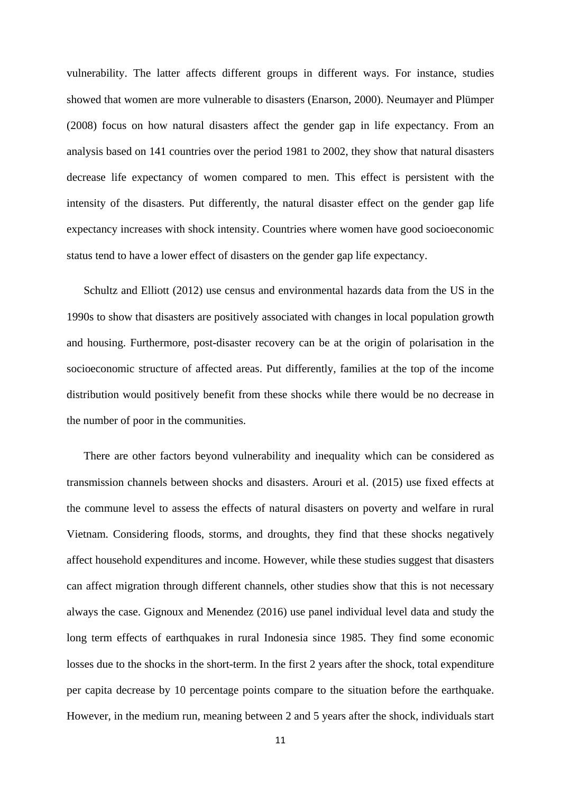vulnerability. The latter affects different groups in different ways. For instance, studies showed that women are more vulnerable to disasters (Enarson, 2000). Neumayer and Plümper (2008) focus on how natural disasters affect the gender gap in life expectancy. From an analysis based on 141 countries over the period 1981 to 2002, they show that natural disasters decrease life expectancy of women compared to men. This effect is persistent with the intensity of the disasters. Put differently, the natural disaster effect on the gender gap life expectancy increases with shock intensity. Countries where women have good socioeconomic status tend to have a lower effect of disasters on the gender gap life expectancy.

Schultz and Elliott (2012) use census and environmental hazards data from the US in the 1990s to show that disasters are positively associated with changes in local population growth and housing. Furthermore, post-disaster recovery can be at the origin of polarisation in the socioeconomic structure of affected areas. Put differently, families at the top of the income distribution would positively benefit from these shocks while there would be no decrease in the number of poor in the communities.

There are other factors beyond vulnerability and inequality which can be considered as transmission channels between shocks and disasters. Arouri et al. (2015) use fixed effects at the commune level to assess the effects of natural disasters on poverty and welfare in rural Vietnam. Considering floods, storms, and droughts, they find that these shocks negatively affect household expenditures and income. However, while these studies suggest that disasters can affect migration through different channels, other studies show that this is not necessary always the case. Gignoux and Menendez (2016) use panel individual level data and study the long term effects of earthquakes in rural Indonesia since 1985. They find some economic losses due to the shocks in the short-term. In the first 2 years after the shock, total expenditure per capita decrease by 10 percentage points compare to the situation before the earthquake. However, in the medium run, meaning between 2 and 5 years after the shock, individuals start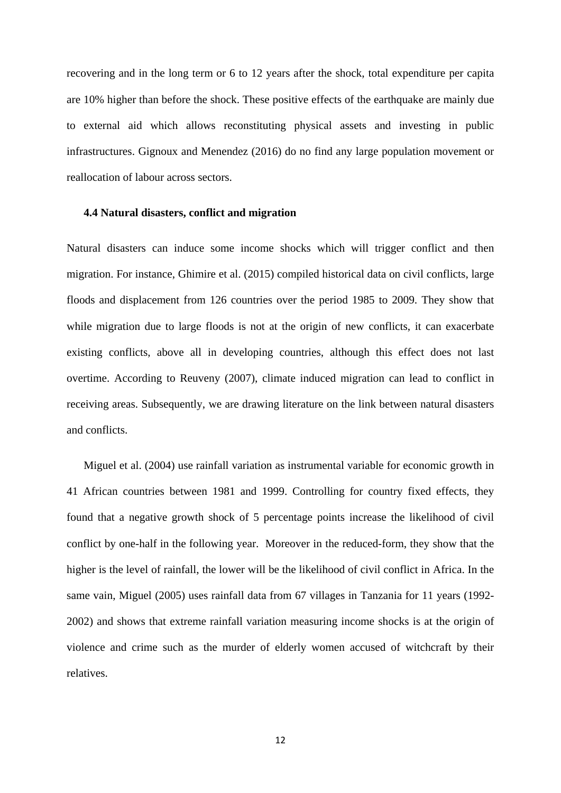recovering and in the long term or 6 to 12 years after the shock, total expenditure per capita are 10% higher than before the shock. These positive effects of the earthquake are mainly due to external aid which allows reconstituting physical assets and investing in public infrastructures. Gignoux and Menendez (2016) do no find any large population movement or reallocation of labour across sectors.

#### **4.4 Natural disasters, conflict and migration**

Natural disasters can induce some income shocks which will trigger conflict and then migration. For instance, Ghimire et al. (2015) compiled historical data on civil conflicts, large floods and displacement from 126 countries over the period 1985 to 2009. They show that while migration due to large floods is not at the origin of new conflicts, it can exacerbate existing conflicts, above all in developing countries, although this effect does not last overtime. According to Reuveny (2007), climate induced migration can lead to conflict in receiving areas. Subsequently, we are drawing literature on the link between natural disasters and conflicts.

Miguel et al. (2004) use rainfall variation as instrumental variable for economic growth in 41 African countries between 1981 and 1999. Controlling for country fixed effects, they found that a negative growth shock of 5 percentage points increase the likelihood of civil conflict by one-half in the following year. Moreover in the reduced-form, they show that the higher is the level of rainfall, the lower will be the likelihood of civil conflict in Africa. In the same vain, Miguel (2005) uses rainfall data from 67 villages in Tanzania for 11 years (1992- 2002) and shows that extreme rainfall variation measuring income shocks is at the origin of violence and crime such as the murder of elderly women accused of witchcraft by their relatives.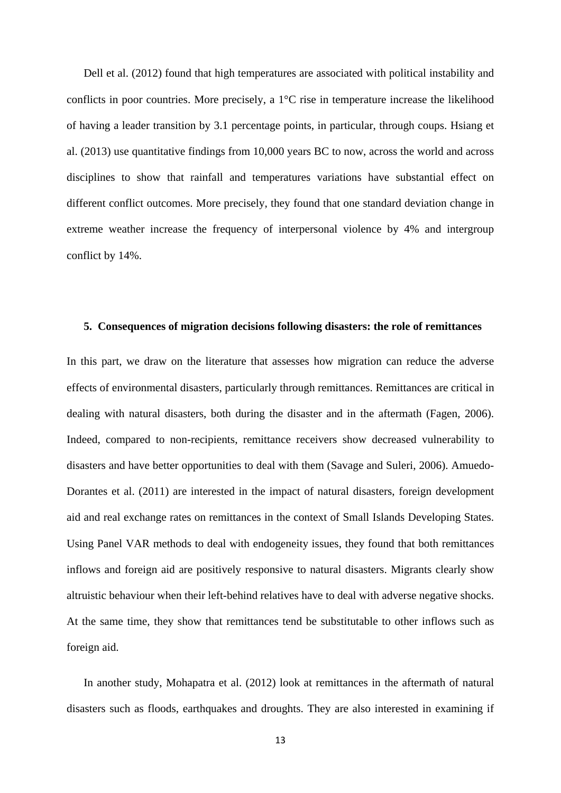Dell et al. (2012) found that high temperatures are associated with political instability and conflicts in poor countries. More precisely, a 1°C rise in temperature increase the likelihood of having a leader transition by 3.1 percentage points, in particular, through coups. Hsiang et al. (2013) use quantitative findings from 10,000 years BC to now, across the world and across disciplines to show that rainfall and temperatures variations have substantial effect on different conflict outcomes. More precisely, they found that one standard deviation change in extreme weather increase the frequency of interpersonal violence by 4% and intergroup conflict by 14%.

#### **5. Consequences of migration decisions following disasters: the role of remittances**

In this part, we draw on the literature that assesses how migration can reduce the adverse effects of environmental disasters, particularly through remittances. Remittances are critical in dealing with natural disasters, both during the disaster and in the aftermath (Fagen, 2006). Indeed, compared to non-recipients, remittance receivers show decreased vulnerability to disasters and have better opportunities to deal with them (Savage and Suleri, 2006). Amuedo-Dorantes et al. (2011) are interested in the impact of natural disasters, foreign development aid and real exchange rates on remittances in the context of Small Islands Developing States. Using Panel VAR methods to deal with endogeneity issues, they found that both remittances inflows and foreign aid are positively responsive to natural disasters. Migrants clearly show altruistic behaviour when their left-behind relatives have to deal with adverse negative shocks. At the same time, they show that remittances tend be substitutable to other inflows such as foreign aid.

In another study, Mohapatra et al. (2012) look at remittances in the aftermath of natural disasters such as floods, earthquakes and droughts. They are also interested in examining if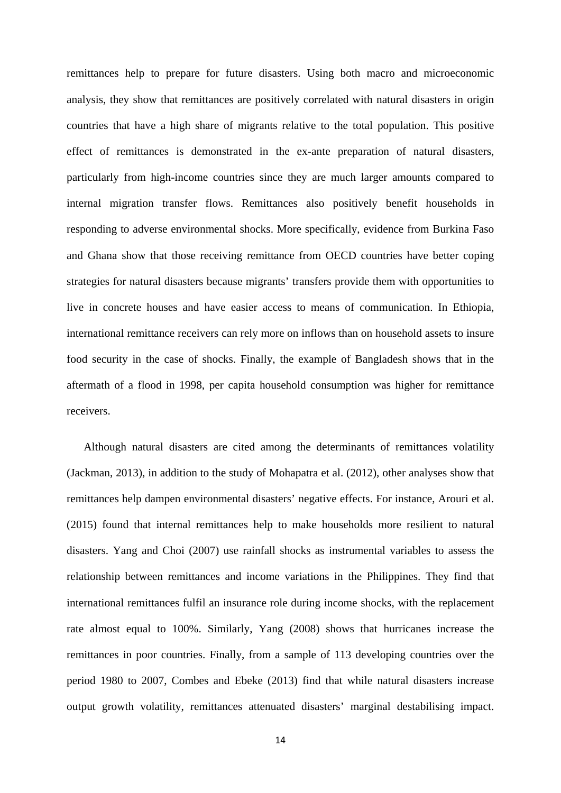remittances help to prepare for future disasters. Using both macro and microeconomic analysis, they show that remittances are positively correlated with natural disasters in origin countries that have a high share of migrants relative to the total population. This positive effect of remittances is demonstrated in the ex-ante preparation of natural disasters, particularly from high-income countries since they are much larger amounts compared to internal migration transfer flows. Remittances also positively benefit households in responding to adverse environmental shocks. More specifically, evidence from Burkina Faso and Ghana show that those receiving remittance from OECD countries have better coping strategies for natural disasters because migrants' transfers provide them with opportunities to live in concrete houses and have easier access to means of communication. In Ethiopia, international remittance receivers can rely more on inflows than on household assets to insure food security in the case of shocks. Finally, the example of Bangladesh shows that in the aftermath of a flood in 1998, per capita household consumption was higher for remittance receivers.

Although natural disasters are cited among the determinants of remittances volatility (Jackman, 2013), in addition to the study of Mohapatra et al. (2012), other analyses show that remittances help dampen environmental disasters' negative effects. For instance, Arouri et al. (2015) found that internal remittances help to make households more resilient to natural disasters. Yang and Choi (2007) use rainfall shocks as instrumental variables to assess the relationship between remittances and income variations in the Philippines. They find that international remittances fulfil an insurance role during income shocks, with the replacement rate almost equal to 100%. Similarly, Yang (2008) shows that hurricanes increase the remittances in poor countries. Finally, from a sample of 113 developing countries over the period 1980 to 2007, Combes and Ebeke (2013) find that while natural disasters increase output growth volatility, remittances attenuated disasters' marginal destabilising impact.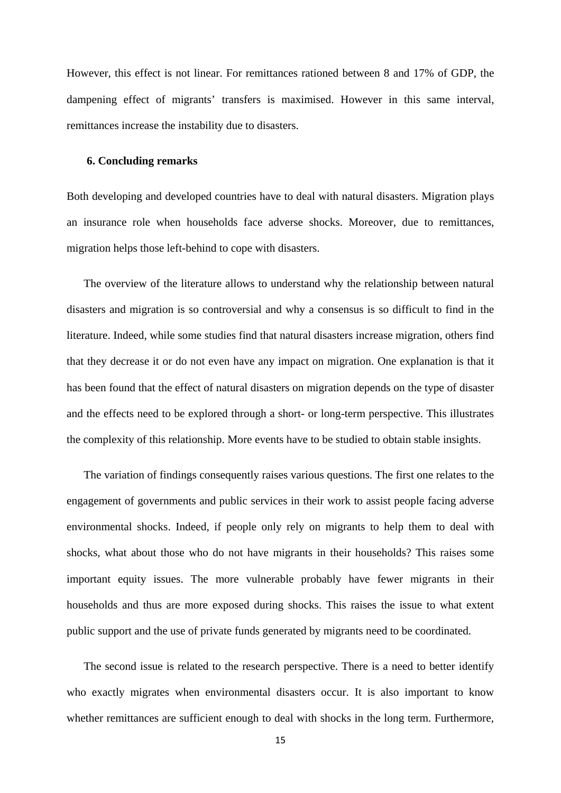However, this effect is not linear. For remittances rationed between 8 and 17% of GDP, the dampening effect of migrants' transfers is maximised. However in this same interval, remittances increase the instability due to disasters.

#### **6. Concluding remarks**

Both developing and developed countries have to deal with natural disasters. Migration plays an insurance role when households face adverse shocks. Moreover, due to remittances, migration helps those left-behind to cope with disasters.

The overview of the literature allows to understand why the relationship between natural disasters and migration is so controversial and why a consensus is so difficult to find in the literature. Indeed, while some studies find that natural disasters increase migration, others find that they decrease it or do not even have any impact on migration. One explanation is that it has been found that the effect of natural disasters on migration depends on the type of disaster and the effects need to be explored through a short- or long-term perspective. This illustrates the complexity of this relationship. More events have to be studied to obtain stable insights.

The variation of findings consequently raises various questions. The first one relates to the engagement of governments and public services in their work to assist people facing adverse environmental shocks. Indeed, if people only rely on migrants to help them to deal with shocks, what about those who do not have migrants in their households? This raises some important equity issues. The more vulnerable probably have fewer migrants in their households and thus are more exposed during shocks. This raises the issue to what extent public support and the use of private funds generated by migrants need to be coordinated.

The second issue is related to the research perspective. There is a need to better identify who exactly migrates when environmental disasters occur. It is also important to know whether remittances are sufficient enough to deal with shocks in the long term. Furthermore,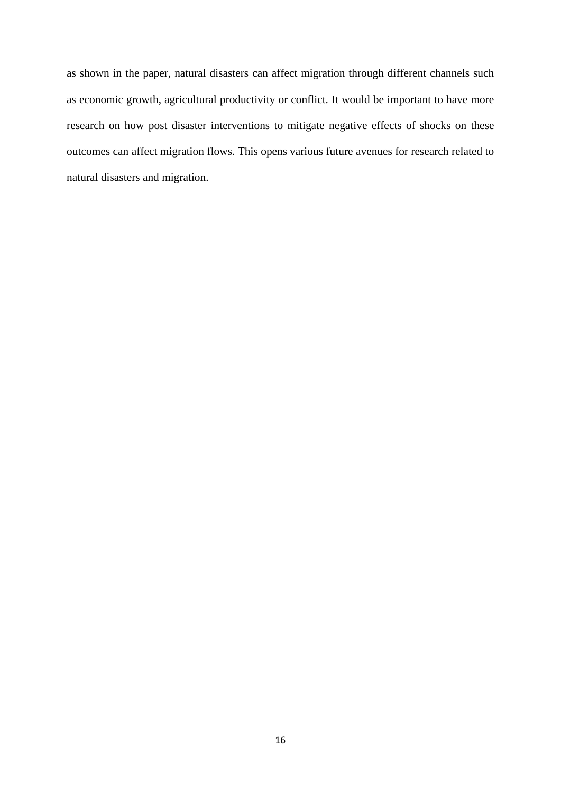as shown in the paper, natural disasters can affect migration through different channels such as economic growth, agricultural productivity or conflict. It would be important to have more research on how post disaster interventions to mitigate negative effects of shocks on these outcomes can affect migration flows. This opens various future avenues for research related to natural disasters and migration.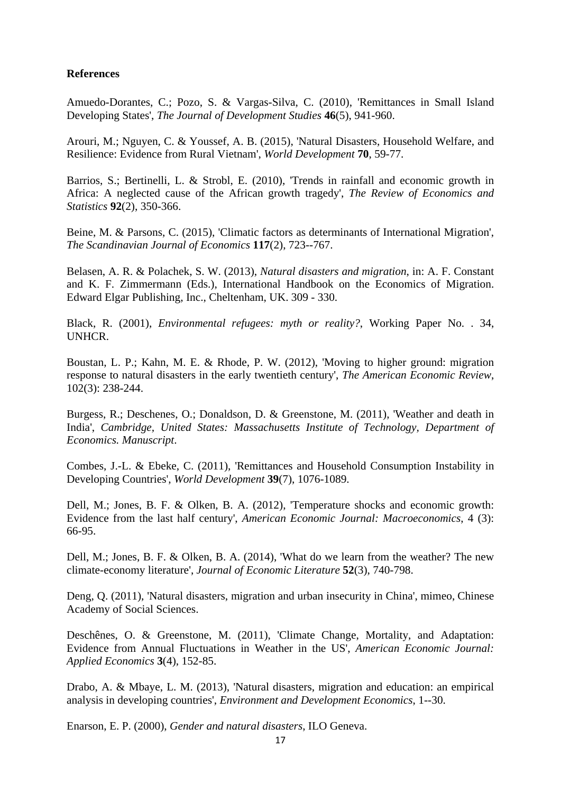### **References**

Amuedo-Dorantes, C.; Pozo, S. & Vargas-Silva, C. (2010), 'Remittances in Small Island Developing States', *The Journal of Development Studies* **46**(5), 941-960.

Arouri, M.; Nguyen, C. & Youssef, A. B. (2015), 'Natural Disasters, Household Welfare, and Resilience: Evidence from Rural Vietnam', *World Development* **70**, 59-77.

Barrios, S.; Bertinelli, L. & Strobl, E. (2010), 'Trends in rainfall and economic growth in Africa: A neglected cause of the African growth tragedy', *The Review of Economics and Statistics* **92**(2), 350-366.

Beine, M. & Parsons, C. (2015), 'Climatic factors as determinants of International Migration', *The Scandinavian Journal of Economics* **117**(2), 723--767.

Belasen, A. R. & Polachek, S. W. (2013), *Natural disasters and migration*, in: A. F. Constant and K. F. Zimmermann (Eds.), International Handbook on the Economics of Migration. Edward Elgar Publishing, Inc., Cheltenham, UK. 309 - 330.

Black, R. (2001), *Environmental refugees: myth or reality?*, Working Paper No. . 34, UNHCR.

Boustan, L. P.; Kahn, M. E. & Rhode, P. W. (2012), 'Moving to higher ground: migration response to natural disasters in the early twentieth century', *The American Economic Review*, 102(3): 238-244.

Burgess, R.; Deschenes, O.; Donaldson, D. & Greenstone, M. (2011), 'Weather and death in India', *Cambridge, United States: Massachusetts Institute of Technology, Department of Economics. Manuscript*.

Combes, J.-L. & Ebeke, C. (2011), 'Remittances and Household Consumption Instability in Developing Countries', *World Development* **39**(7), 1076-1089.

Dell, M.; Jones, B. F. & Olken, B. A. (2012), 'Temperature shocks and economic growth: Evidence from the last half century', *American Economic Journal: Macroeconomics*, 4 (3): 66-95.

Dell, M.; Jones, B. F. & Olken, B. A. (2014), 'What do we learn from the weather? The new climate-economy literature', *Journal of Economic Literature* **52**(3), 740-798.

Deng, Q. (2011), 'Natural disasters, migration and urban insecurity in China', mimeo, Chinese Academy of Social Sciences.

Deschênes, O. & Greenstone, M. (2011), 'Climate Change, Mortality, and Adaptation: Evidence from Annual Fluctuations in Weather in the US', *American Economic Journal: Applied Economics* **3**(4), 152-85.

Drabo, A. & Mbaye, L. M. (2013), 'Natural disasters, migration and education: an empirical analysis in developing countries', *Environment and Development Economics*, 1--30.

Enarson, E. P. (2000), *Gender and natural disasters*, ILO Geneva.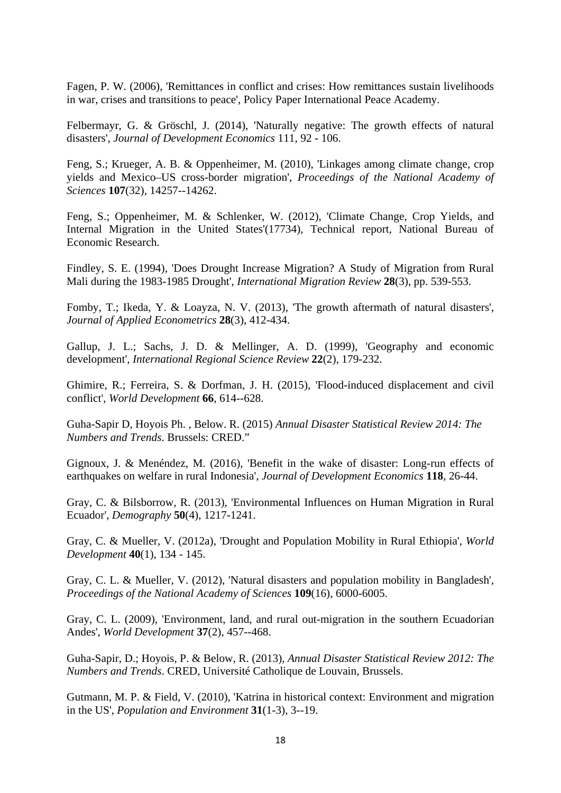Fagen, P. W. (2006), 'Remittances in conflict and crises: How remittances sustain livelihoods in war, crises and transitions to peace', Policy Paper International Peace Academy.

Felbermayr, G. & Gröschl, J. (2014), 'Naturally negative: The growth effects of natural disasters', *Journal of Development Economics* 111, 92 - 106.

Feng, S.; Krueger, A. B. & Oppenheimer, M. (2010), 'Linkages among climate change, crop yields and Mexico–US cross-border migration', *Proceedings of the National Academy of Sciences* **107**(32), 14257--14262.

Feng, S.; Oppenheimer, M. & Schlenker, W. (2012), 'Climate Change, Crop Yields, and Internal Migration in the United States'(17734), Technical report, National Bureau of Economic Research.

Findley, S. E. (1994), 'Does Drought Increase Migration? A Study of Migration from Rural Mali during the 1983-1985 Drought', *International Migration Review* **28**(3), pp. 539-553.

Fomby, T.; Ikeda, Y. & Loayza, N. V. (2013), 'The growth aftermath of natural disasters', *Journal of Applied Econometrics* **28**(3), 412-434.

Gallup, J. L.; Sachs, J. D. & Mellinger, A. D. (1999), 'Geography and economic development', *International Regional Science Review* **22**(2), 179-232.

Ghimire, R.; Ferreira, S. & Dorfman, J. H. (2015), 'Flood-induced displacement and civil conflict', *World Development* **66**, 614--628.

Guha-Sapir D, Hoyois Ph. , Below. R. (2015) *Annual Disaster Statistical Review 2014: The Numbers and Trends*. Brussels: CRED."

Gignoux, J. & Menéndez, M. (2016), 'Benefit in the wake of disaster: Long-run effects of earthquakes on welfare in rural Indonesia', *Journal of Development Economics* **118**, 26-44.

Gray, C. & Bilsborrow, R. (2013), 'Environmental Influences on Human Migration in Rural Ecuador', *Demography* **50**(4), 1217-1241.

Gray, C. & Mueller, V. (2012a), 'Drought and Population Mobility in Rural Ethiopia', *World Development* **40**(1), 134 - 145.

Gray, C. L. & Mueller, V. (2012), 'Natural disasters and population mobility in Bangladesh', *Proceedings of the National Academy of Sciences* **109**(16), 6000-6005.

Gray, C. L. (2009), 'Environment, land, and rural out-migration in the southern Ecuadorian Andes', *World Development* **37**(2), 457--468.

Guha-Sapir, D.; Hoyois, P. & Below, R. (2013), *Annual Disaster Statistical Review 2012: The Numbers and Trends*. CRED, Université Catholique de Louvain, Brussels.

Gutmann, M. P. & Field, V. (2010), 'Katrina in historical context: Environment and migration in the US', *Population and Environment* **31**(1-3), 3--19.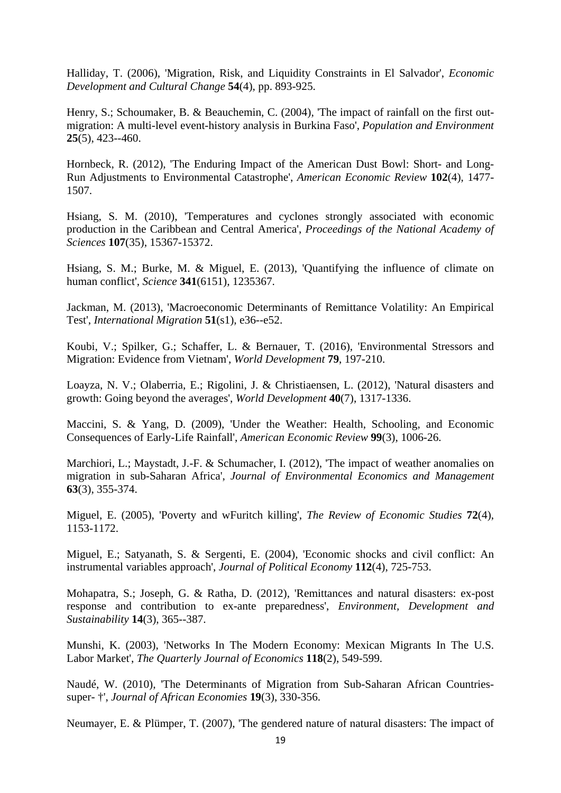Halliday, T. (2006), 'Migration, Risk, and Liquidity Constraints in El Salvador', *Economic Development and Cultural Change* **54**(4), pp. 893-925.

Henry, S.; Schoumaker, B. & Beauchemin, C. (2004), 'The impact of rainfall on the first outmigration: A multi-level event-history analysis in Burkina Faso', *Population and Environment* **25**(5), 423--460.

Hornbeck, R. (2012), 'The Enduring Impact of the American Dust Bowl: Short- and Long-Run Adjustments to Environmental Catastrophe', *American Economic Review* **102**(4), 1477- 1507.

Hsiang, S. M. (2010), 'Temperatures and cyclones strongly associated with economic production in the Caribbean and Central America', *Proceedings of the National Academy of Sciences* **107**(35), 15367-15372.

Hsiang, S. M.; Burke, M. & Miguel, E. (2013), 'Quantifying the influence of climate on human conflict', *Science* **341**(6151), 1235367.

Jackman, M. (2013), 'Macroeconomic Determinants of Remittance Volatility: An Empirical Test', *International Migration* **51**(s1), e36--e52.

Koubi, V.; Spilker, G.; Schaffer, L. & Bernauer, T. (2016), 'Environmental Stressors and Migration: Evidence from Vietnam', *World Development* **79**, 197-210.

Loayza, N. V.; Olaberria, E.; Rigolini, J. & Christiaensen, L. (2012), 'Natural disasters and growth: Going beyond the averages', *World Development* **40**(7), 1317-1336.

Maccini, S. & Yang, D. (2009), 'Under the Weather: Health, Schooling, and Economic Consequences of Early-Life Rainfall', *American Economic Review* **99**(3), 1006-26.

Marchiori, L.; Maystadt, J.-F. & Schumacher, I. (2012), 'The impact of weather anomalies on migration in sub-Saharan Africa', *Journal of Environmental Economics and Management* **63**(3), 355-374.

Miguel, E. (2005), 'Poverty and wFuritch killing', *The Review of Economic Studies* **72**(4), 1153-1172.

Miguel, E.; Satyanath, S. & Sergenti, E. (2004), 'Economic shocks and civil conflict: An instrumental variables approach', *Journal of Political Economy* **112**(4), 725-753.

Mohapatra, S.; Joseph, G. & Ratha, D. (2012), 'Remittances and natural disasters: ex-post response and contribution to ex-ante preparedness', *Environment, Development and Sustainability* **14**(3), 365--387.

Munshi, K. (2003), 'Networks In The Modern Economy: Mexican Migrants In The U.S. Labor Market', *The Quarterly Journal of Economics* **118**(2), 549-599.

Naudé, W. (2010), 'The Determinants of Migration from Sub-Saharan African Countriessuper- †', *Journal of African Economies* **19**(3), 330-356.

Neumayer, E. & Plümper, T. (2007), 'The gendered nature of natural disasters: The impact of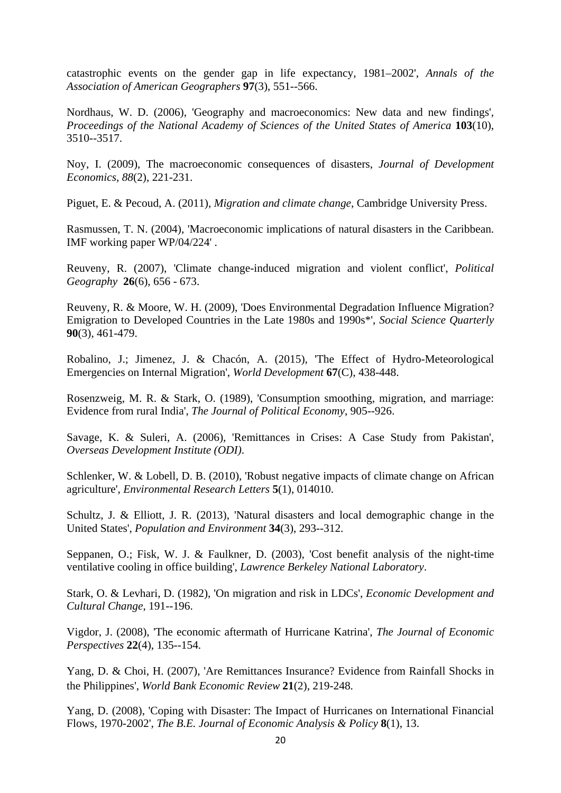catastrophic events on the gender gap in life expectancy, 1981–2002', *Annals of the Association of American Geographers* **97**(3), 551--566.

Nordhaus, W. D. (2006), 'Geography and macroeconomics: New data and new findings', *Proceedings of the National Academy of Sciences of the United States of America* **103**(10), 3510--3517.

Noy, I. (2009), The macroeconomic consequences of disasters, *Journal of Development Economics*, *88*(2), 221-231.

Piguet, E. & Pecoud, A. (2011), *Migration and climate change*, Cambridge University Press.

Rasmussen, T. N. (2004), 'Macroeconomic implications of natural disasters in the Caribbean. IMF working paper WP/04/224' .

Reuveny, R. (2007), 'Climate change-induced migration and violent conflict', *Political Geography* **26**(6), 656 - 673.

Reuveny, R. & Moore, W. H. (2009), 'Does Environmental Degradation Influence Migration? Emigration to Developed Countries in the Late 1980s and 1990s\*', *Social Science Quarterly* **90**(3), 461-479.

Robalino, J.; Jimenez, J. & Chacón, A. (2015), 'The Effect of Hydro-Meteorological Emergencies on Internal Migration', *World Development* **67**(C), 438-448.

Rosenzweig, M. R. & Stark, O. (1989), 'Consumption smoothing, migration, and marriage: Evidence from rural India', *The Journal of Political Economy*, 905--926.

Savage, K. & Suleri, A. (2006), 'Remittances in Crises: A Case Study from Pakistan', *Overseas Development Institute (ODI)*.

Schlenker, W. & Lobell, D. B. (2010), 'Robust negative impacts of climate change on African agriculture', *Environmental Research Letters* **5**(1), 014010.

Schultz, J. & Elliott, J. R. (2013), 'Natural disasters and local demographic change in the United States', *Population and Environment* **34**(3), 293--312.

Seppanen, O.; Fisk, W. J. & Faulkner, D. (2003), 'Cost benefit analysis of the night-time ventilative cooling in office building', *Lawrence Berkeley National Laboratory*.

Stark, O. & Levhari, D. (1982), 'On migration and risk in LDCs', *Economic Development and Cultural Change*, 191--196.

Vigdor, J. (2008), 'The economic aftermath of Hurricane Katrina', *The Journal of Economic Perspectives* **22**(4), 135--154.

Yang, D. & Choi, H. (2007), 'Are Remittances Insurance? Evidence from Rainfall Shocks in the Philippines', *World Bank Economic Review* **21**(2), 219-248.

Yang, D. (2008), 'Coping with Disaster: The Impact of Hurricanes on International Financial Flows, 1970-2002', *The B.E. Journal of Economic Analysis & Policy* **8**(1), 13.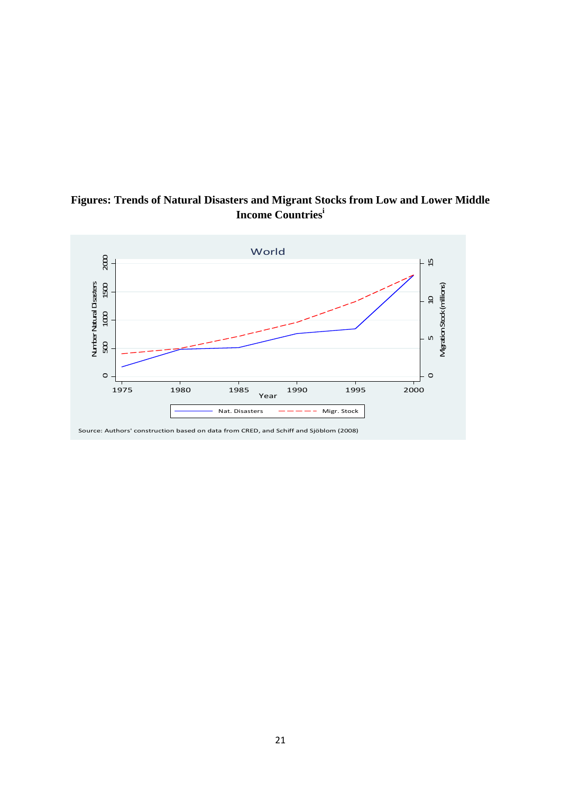

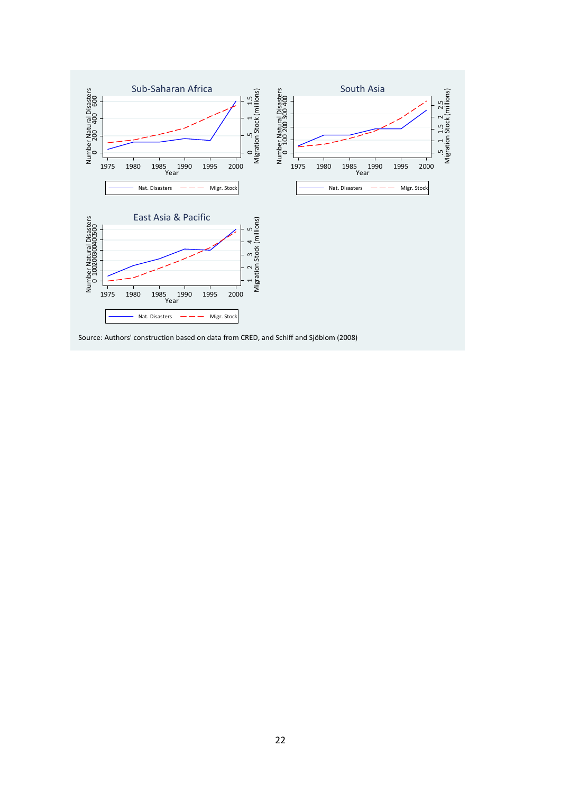

Source: Authors' construction based on data from CRED, and Schiff and Sjöblom (2008)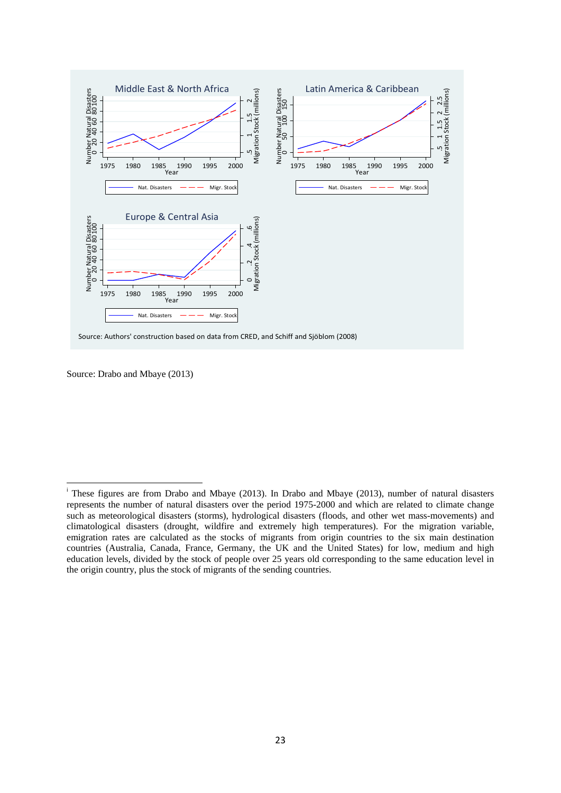

Source: Drabo and Mbaye (2013)

<sup>i</sup> These figures are from Drabo and Mbaye (2013). In Drabo and Mbaye (2013), number of natural disasters represents the number of natural disasters over the period 1975-2000 and which are related to climate change such as meteorological disasters (storms), hydrological disasters (floods, and other wet mass-movements) and climatological disasters (drought, wildfire and extremely high temperatures). For the migration variable, emigration rates are calculated as the stocks of migrants from origin countries to the six main destination countries (Australia, Canada, France, Germany, the UK and the United States) for low, medium and high education levels, divided by the stock of people over 25 years old corresponding to the same education level in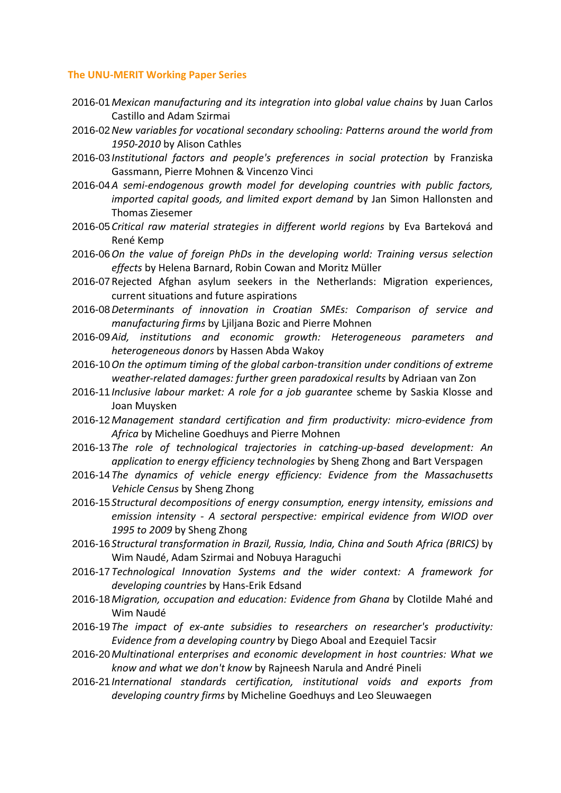#### **The UNU‐MERIT Working Paper Series**

- 2016-01 *Mexican manufacturing and its integration into global value chains* by Juan Carlos Castillo and Adam Szirmai
- 2016-02 *New variables for vocational secondary schooling: Patterns around the world from 1950‐2010* by Alison Cathles
- 2016-03 *Institutional factors and people's preferences in social protection* by Franziska Gassmann, Pierre Mohnen & Vincenzo Vinci
- 2016-04 *A semi‐endogenous growth model for developing countries with public factors, imported capital goods, and limited export demand* by Jan Simon Hallonsten and Thomas Ziesemer
- 2016-05 *Critical raw material strategies in different world regions* by Eva Barteková and René Kemp
- 2016-06 *On the value of foreign PhDs in the developing world: Training versus selection effects* by Helena Barnard, Robin Cowan and Moritz Müller
- 2016-07 Rejected Afghan asylum seekers in the Netherlands: Migration experiences, current situations and future aspirations
- 2016-08 *Determinants of innovation in Croatian SMEs: Comparison of service and manufacturing firms* by Ljiljana Bozic and Pierre Mohnen
- 2016-09 *Aid, institutions and economic growth: Heterogeneous parameters and heterogeneous donors* by Hassen Abda Wakoy
- 2016-10 *On the optimum timing of the global carbon‐transition under conditions of extreme weather‐related damages: further green paradoxical results* by Adriaan van Zon
- 2016-11 *Inclusive labour market: A role for a job guarantee* scheme by Saskia Klosse and Joan Muysken
- 2016-12 *Management standard certification and firm productivity: micro‐evidence from Africa* by Micheline Goedhuys and Pierre Mohnen
- 2016-13 *The role of technological trajectories in catching‐up‐based development: An application to energy efficiency technologies* by Sheng Zhong and Bart Verspagen
- 2016-14 *The dynamics of vehicle energy efficiency: Evidence from the Massachusetts Vehicle Census* by Sheng Zhong
- 2016-15 *Structural decompositions of energy consumption, energy intensity, emissions and emission intensity ‐ A sectoral perspective: empirical evidence from WIOD over 1995 to 2009* by Sheng Zhong
- 2016-16 *Structural transformation in Brazil, Russia, India, China and South Africa (BRICS)* by Wim Naudé, Adam Szirmai and Nobuya Haraguchi
- 2016-17 *Technological Innovation Systems and the wider context: A framework for developing countries* by Hans‐Erik Edsand
- 2016-18 *Migration, occupation and education: Evidence from Ghana* by Clotilde Mahé and Wim Naudé
- 2016-19 *The impact of ex‐ante subsidies to researchers on researcher's productivity: Evidence from a developing country* by Diego Aboal and Ezequiel Tacsir
- 2016-20 *Multinational enterprises and economic development in host countries: What we know and what we don't know* by Rajneesh Narula and André Pineli
- 2016-21 *International standards certification, institutional voids and exports from developing country firms* by Micheline Goedhuys and Leo Sleuwaegen